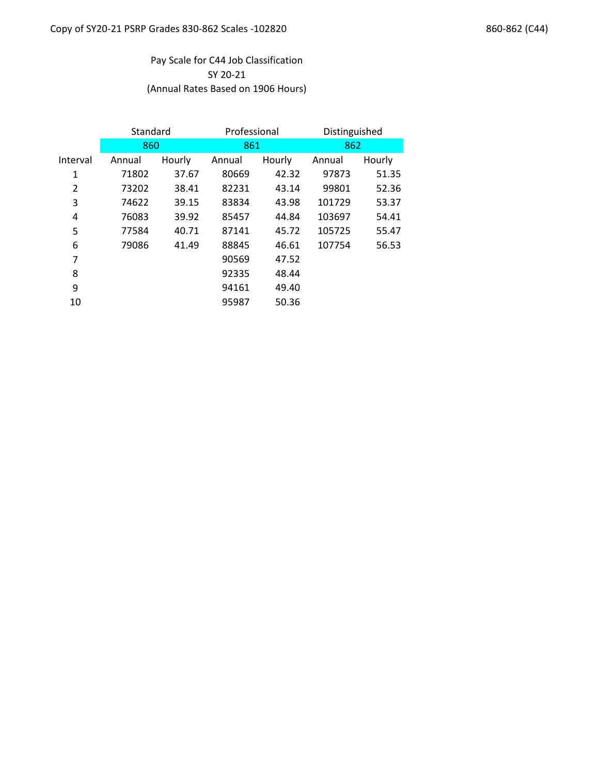# SY 20-21 Pay Scale for C44 Job Classification (Annual Rates Based on 1906 Hours)

|                | Standard |        | Professional |        | Distinguished |        |
|----------------|----------|--------|--------------|--------|---------------|--------|
|                | 860      |        | 861          |        | 862           |        |
| Interval       | Annual   | Hourly | Annual       | Hourly | Annual        | Hourly |
| 1              | 71802    | 37.67  | 80669        | 42.32  | 97873         | 51.35  |
| $\overline{2}$ | 73202    | 38.41  | 82231        | 43.14  | 99801         | 52.36  |
| 3              | 74622    | 39.15  | 83834        | 43.98  | 101729        | 53.37  |
| 4              | 76083    | 39.92  | 85457        | 44.84  | 103697        | 54.41  |
| 5              | 77584    | 40.71  | 87141        | 45.72  | 105725        | 55.47  |
| 6              | 79086    | 41.49  | 88845        | 46.61  | 107754        | 56.53  |
| 7              |          |        | 90569        | 47.52  |               |        |
| 8              |          |        | 92335        | 48.44  |               |        |
| 9              |          |        | 94161        | 49.40  |               |        |
| 10             |          |        | 95987        | 50.36  |               |        |
|                |          |        |              |        |               |        |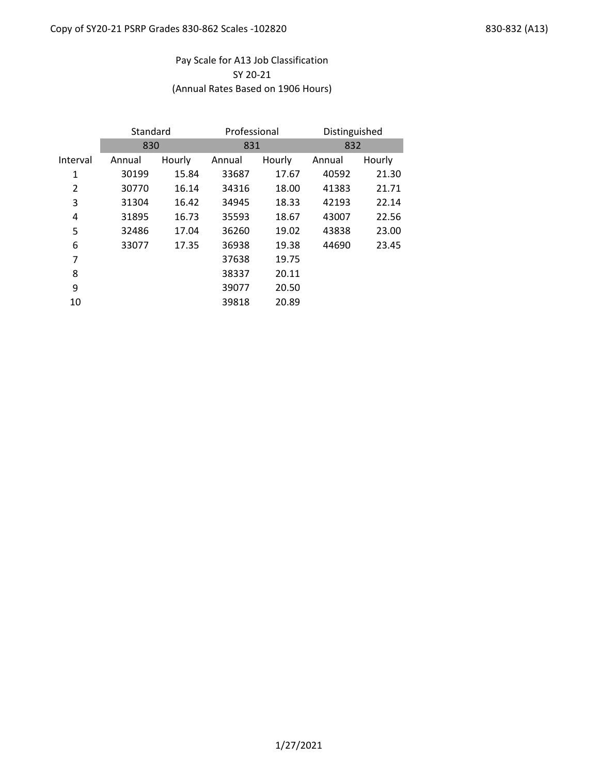# Pay Scale for A13 Job Classification SY 20-21 (Annual Rates Based on 1906 Hours)

|          | Standard |        | Professional |        | Distinguished |        |
|----------|----------|--------|--------------|--------|---------------|--------|
|          | 830      |        | 831          |        | 832           |        |
| Interval | Annual   | Hourly | Annual       | Hourly | Annual        | Hourly |
| 1        | 30199    | 15.84  | 33687        | 17.67  | 40592         | 21.30  |
| 2        | 30770    | 16.14  | 34316        | 18.00  | 41383         | 21.71  |
| 3        | 31304    | 16.42  | 34945        | 18.33  | 42193         | 22.14  |
| 4        | 31895    | 16.73  | 35593        | 18.67  | 43007         | 22.56  |
| 5        | 32486    | 17.04  | 36260        | 19.02  | 43838         | 23.00  |
| 6        | 33077    | 17.35  | 36938        | 19.38  | 44690         | 23.45  |
| 7        |          |        | 37638        | 19.75  |               |        |
| 8        |          |        | 38337        | 20.11  |               |        |
| 9        |          |        | 39077        | 20.50  |               |        |
| 10       |          |        | 39818        | 20.89  |               |        |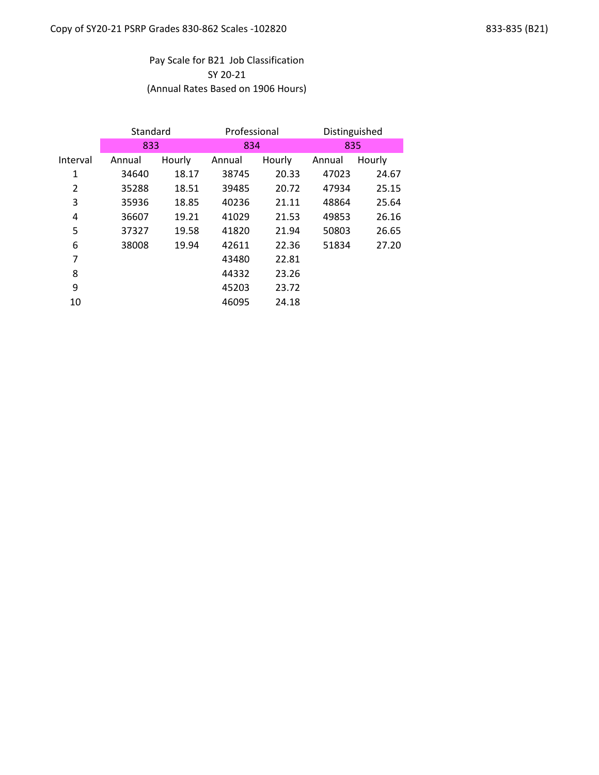# Pay Scale for B21 Job Classification SY 20-21 (Annual Rates Based on 1906 Hours)

|                | Standard |        | Professional |        | Distinguished |        |
|----------------|----------|--------|--------------|--------|---------------|--------|
|                | 833      |        | 834          |        | 835           |        |
| Interval       | Annual   | Hourly | Annual       | Hourly | Annual        | Hourly |
| 1              | 34640    | 18.17  | 38745        | 20.33  | 47023         | 24.67  |
| $\overline{2}$ | 35288    | 18.51  | 39485        | 20.72  | 47934         | 25.15  |
| 3              | 35936    | 18.85  | 40236        | 21.11  | 48864         | 25.64  |
| 4              | 36607    | 19.21  | 41029        | 21.53  | 49853         | 26.16  |
| 5              | 37327    | 19.58  | 41820        | 21.94  | 50803         | 26.65  |
| 6              | 38008    | 19.94  | 42611        | 22.36  | 51834         | 27.20  |
| 7              |          |        | 43480        | 22.81  |               |        |
| 8              |          |        | 44332        | 23.26  |               |        |
| 9              |          |        | 45203        | 23.72  |               |        |
| 10             |          |        | 46095        | 24.18  |               |        |
|                |          |        |              |        |               |        |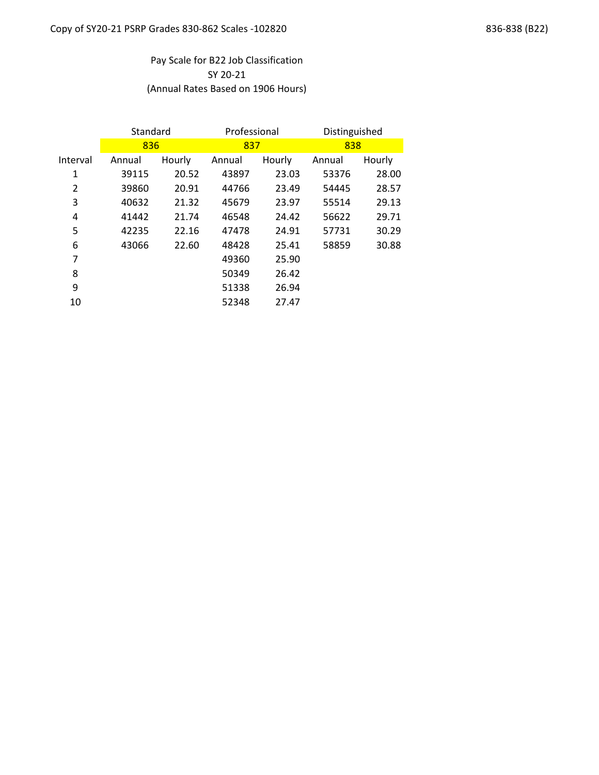# Pay Scale for B22 Job Classification SY 20-21 (Annual Rates Based on 1906 Hours)

|                | Standard |        | Professional |        | Distinguished |        |
|----------------|----------|--------|--------------|--------|---------------|--------|
|                | 836      |        | 837          |        | 838           |        |
| Interval       | Annual   | Hourly | Annual       | Hourly | Annual        | Hourly |
| 1              | 39115    | 20.52  | 43897        | 23.03  | 53376         | 28.00  |
| $\overline{2}$ | 39860    | 20.91  | 44766        | 23.49  | 54445         | 28.57  |
| 3              | 40632    | 21.32  | 45679        | 23.97  | 55514         | 29.13  |
| 4              | 41442    | 21.74  | 46548        | 24.42  | 56622         | 29.71  |
| 5              | 42235    | 22.16  | 47478        | 24.91  | 57731         | 30.29  |
| 6              | 43066    | 22.60  | 48428        | 25.41  | 58859         | 30.88  |
| 7              |          |        | 49360        | 25.90  |               |        |
| 8              |          |        | 50349        | 26.42  |               |        |
| 9              |          |        | 51338        | 26.94  |               |        |
| 10             |          |        | 52348        | 27.47  |               |        |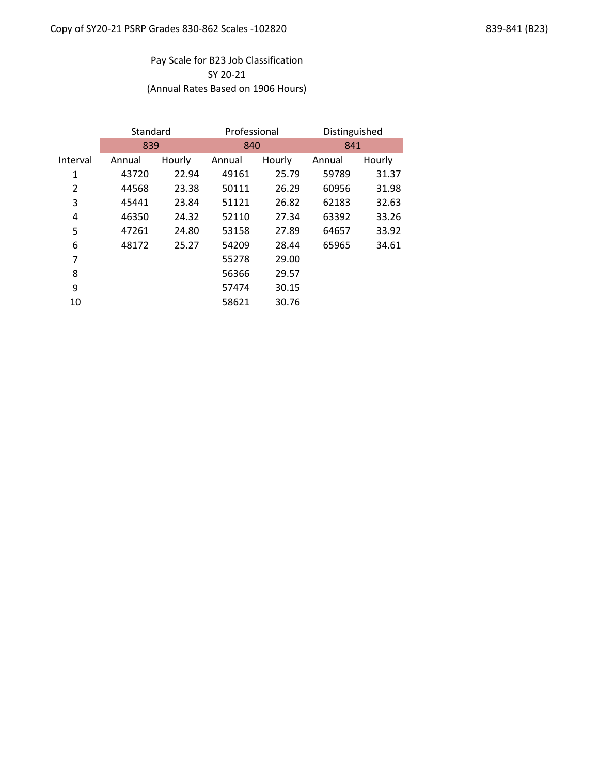# Pay Scale for B23 Job Classification SY 20-21 (Annual Rates Based on 1906 Hours)

|          | Standard |        | Professional |        | Distinguished |        |  |
|----------|----------|--------|--------------|--------|---------------|--------|--|
|          | 839      |        |              | 840    |               | 841    |  |
| Interval | Annual   | Hourly | Annual       | Hourly | Annual        | Hourly |  |
| 1        | 43720    | 22.94  | 49161        | 25.79  | 59789         | 31.37  |  |
| 2        | 44568    | 23.38  | 50111        | 26.29  | 60956         | 31.98  |  |
| 3        | 45441    | 23.84  | 51121        | 26.82  | 62183         | 32.63  |  |
| 4        | 46350    | 24.32  | 52110        | 27.34  | 63392         | 33.26  |  |
| 5        | 47261    | 24.80  | 53158        | 27.89  | 64657         | 33.92  |  |
| 6        | 48172    | 25.27  | 54209        | 28.44  | 65965         | 34.61  |  |
| 7        |          |        | 55278        | 29.00  |               |        |  |
| 8        |          |        | 56366        | 29.57  |               |        |  |
| 9        |          |        | 57474        | 30.15  |               |        |  |
| 10       |          |        | 58621        | 30.76  |               |        |  |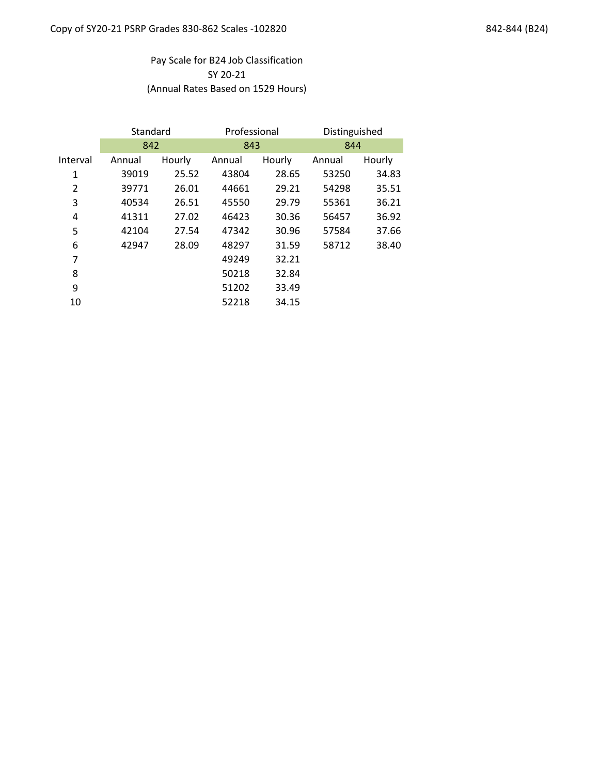# Pay Scale for B24 Job Classification SY 20-21 (Annual Rates Based on 1529 Hours)

|          | Standard |        | Professional |        | Distinguished |        |
|----------|----------|--------|--------------|--------|---------------|--------|
|          | 842      |        | 843          |        | 844           |        |
| Interval | Annual   | Hourly | Annual       | Hourly | Annual        | Hourly |
| 1        | 39019    | 25.52  | 43804        | 28.65  | 53250         | 34.83  |
| 2        | 39771    | 26.01  | 44661        | 29.21  | 54298         | 35.51  |
| 3        | 40534    | 26.51  | 45550        | 29.79  | 55361         | 36.21  |
| 4        | 41311    | 27.02  | 46423        | 30.36  | 56457         | 36.92  |
| 5        | 42104    | 27.54  | 47342        | 30.96  | 57584         | 37.66  |
| 6        | 42947    | 28.09  | 48297        | 31.59  | 58712         | 38.40  |
| 7        |          |        | 49249        | 32.21  |               |        |
| 8        |          |        | 50218        | 32.84  |               |        |
| 9        |          |        | 51202        | 33.49  |               |        |
| 10       |          |        | 52218        | 34.15  |               |        |
|          |          |        |              |        |               |        |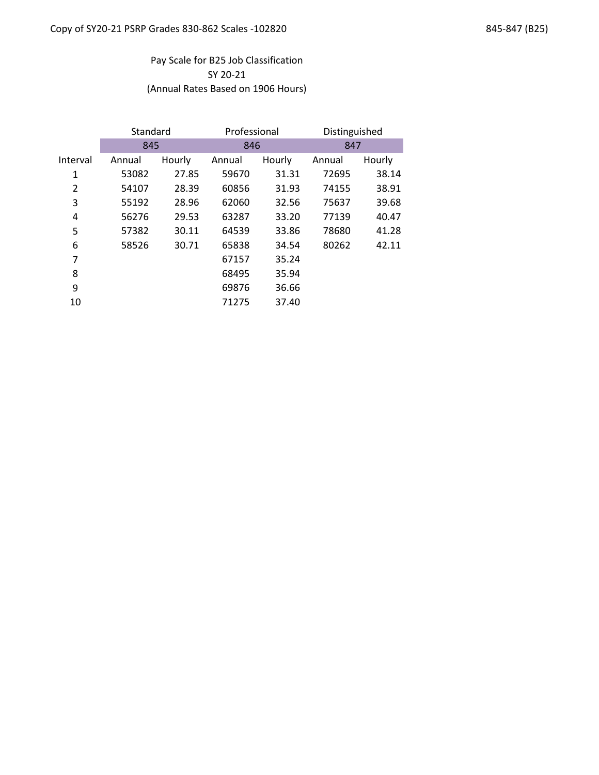# Pay Scale for B25 Job Classification SY 20-21 (Annual Rates Based on 1906 Hours)

|          | Standard |        | Professional |        | Distinguished |        |
|----------|----------|--------|--------------|--------|---------------|--------|
|          | 845      |        | 846          |        | 847           |        |
| Interval | Annual   | Hourly | Annual       | Hourly | Annual        | Hourly |
| 1        | 53082    | 27.85  | 59670        | 31.31  | 72695         | 38.14  |
| 2        | 54107    | 28.39  | 60856        | 31.93  | 74155         | 38.91  |
| 3        | 55192    | 28.96  | 62060        | 32.56  | 75637         | 39.68  |
| 4        | 56276    | 29.53  | 63287        | 33.20  | 77139         | 40.47  |
| 5        | 57382    | 30.11  | 64539        | 33.86  | 78680         | 41.28  |
| 6        | 58526    | 30.71  | 65838        | 34.54  | 80262         | 42.11  |
| 7        |          |        | 67157        | 35.24  |               |        |
| 8        |          |        | 68495        | 35.94  |               |        |
| 9        |          |        | 69876        | 36.66  |               |        |
| 10       |          |        | 71275        | 37.40  |               |        |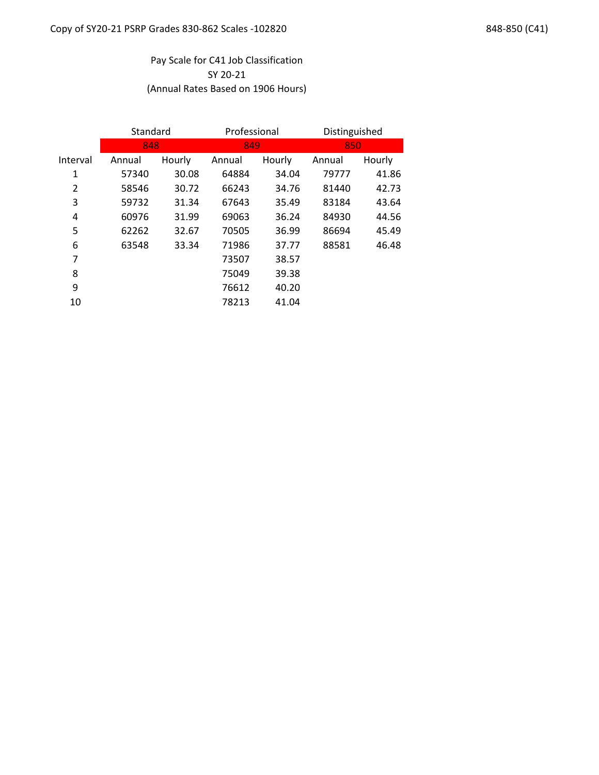# Pay Scale for C41 Job Classification SY 20-21 (Annual Rates Based on 1906 Hours)

|          | Standard |        | Professional |        | Distinguished |        |  |
|----------|----------|--------|--------------|--------|---------------|--------|--|
|          | 848      |        |              | 849    |               | 850    |  |
| Interval | Annual   | Hourly | Annual       | Hourly | Annual        | Hourly |  |
| 1        | 57340    | 30.08  | 64884        | 34.04  | 79777         | 41.86  |  |
| 2        | 58546    | 30.72  | 66243        | 34.76  | 81440         | 42.73  |  |
| 3        | 59732    | 31.34  | 67643        | 35.49  | 83184         | 43.64  |  |
| 4        | 60976    | 31.99  | 69063        | 36.24  | 84930         | 44.56  |  |
| 5        | 62262    | 32.67  | 70505        | 36.99  | 86694         | 45.49  |  |
| 6        | 63548    | 33.34  | 71986        | 37.77  | 88581         | 46.48  |  |
| 7        |          |        | 73507        | 38.57  |               |        |  |
| 8        |          |        | 75049        | 39.38  |               |        |  |
| 9        |          |        | 76612        | 40.20  |               |        |  |
| 10       |          |        | 78213        | 41.04  |               |        |  |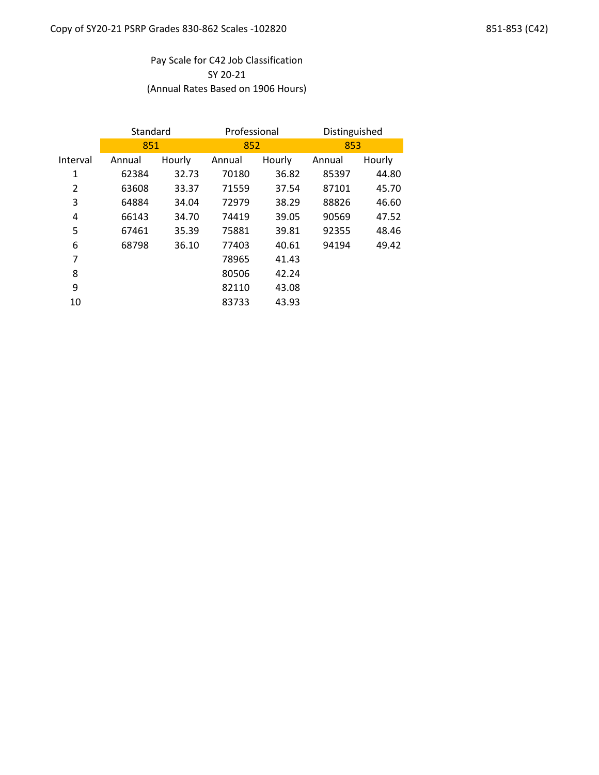# Pay Scale for C42 Job Classification SY 20-21 (Annual Rates Based on 1906 Hours)

|                | Standard |        | Professional |        | Distinguished |        |
|----------------|----------|--------|--------------|--------|---------------|--------|
|                | 851      |        | 852          |        | 853           |        |
| Interval       | Annual   | Hourly | Annual       | Hourly | Annual        | Hourly |
| 1              | 62384    | 32.73  | 70180        | 36.82  | 85397         | 44.80  |
| $\overline{2}$ | 63608    | 33.37  | 71559        | 37.54  | 87101         | 45.70  |
| 3              | 64884    | 34.04  | 72979        | 38.29  | 88826         | 46.60  |
| 4              | 66143    | 34.70  | 74419        | 39.05  | 90569         | 47.52  |
| 5              | 67461    | 35.39  | 75881        | 39.81  | 92355         | 48.46  |
| 6              | 68798    | 36.10  | 77403        | 40.61  | 94194         | 49.42  |
| 7              |          |        | 78965        | 41.43  |               |        |
| 8              |          |        | 80506        | 42.24  |               |        |
| 9              |          |        | 82110        | 43.08  |               |        |
| 10             |          |        | 83733        | 43.93  |               |        |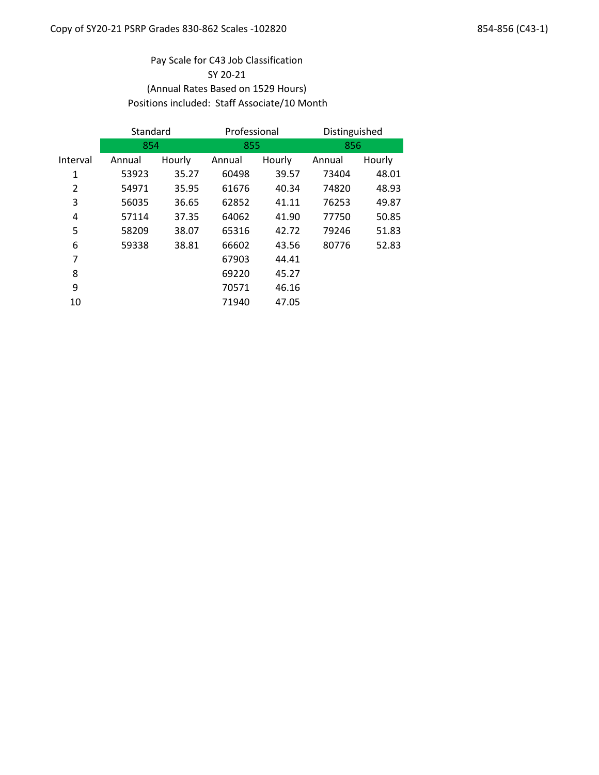## Pay Scale for C43 Job Classification SY 20-21 (Annual Rates Based on 1529 Hours) Positions included: Staff Associate/10 Month

| Standard |        | Professional |        | Distinguished |        |
|----------|--------|--------------|--------|---------------|--------|
|          |        |              |        | 856           |        |
| Annual   | Hourly | Annual       | Hourly | Annual        | Hourly |
| 53923    | 35.27  | 60498        | 39.57  | 73404         | 48.01  |
| 54971    | 35.95  | 61676        | 40.34  | 74820         | 48.93  |
| 56035    | 36.65  | 62852        | 41.11  | 76253         | 49.87  |
| 57114    | 37.35  | 64062        | 41.90  | 77750         | 50.85  |
| 58209    | 38.07  | 65316        | 42.72  | 79246         | 51.83  |
| 59338    | 38.81  | 66602        | 43.56  | 80776         | 52.83  |
|          |        | 67903        | 44.41  |               |        |
|          |        | 69220        | 45.27  |               |        |
|          |        | 70571        | 46.16  |               |        |
|          |        | 71940        | 47.05  |               |        |
|          |        | 854          |        | 855           |        |